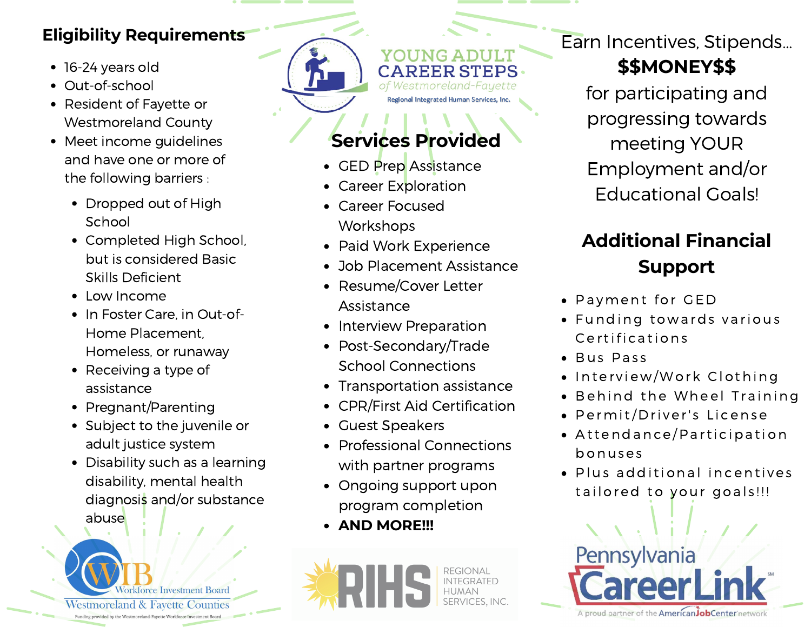## **Eligibility Requirements**

- **16-24 yeardold** 16-24 years old
- Out-of-school
- Resident of Fayette or Westmoreland County
- Meet income guidelines and have one or more of the following barriers :
	- Dropped out of High School
	- Completed High School, but is considered Basic Skills Deficient
	- Low Income
	- In Foster Care, in Out-of-Home Placement, Homeless, or runaway
	- Receiving a type of assistance
	- Pregnant/Parenting
	- Subject to the juvenile or adult justice system
	- Disability such as a learning disability, mental health diagnosis and/or substance abuse



YOUNG ADULT **CAREER STEPS.** of Westmoreland-Fayette Regional Integrated Human Services, Inc

# **Services Provided**

- GED Prep Assistance
- Career Exploration
- Career Focused **Workshops**
- Paid Work Experience
- Job Placement Assistance
- Resume/Cover Letter Assistance
- Interview Preparation
- Post-Secondary/Trade School Connections
- Transportation assistance
- CPR/First Aid Certification
- Guest Speakers
- Professional Connections with partner programs
- Ongoing support upon program completion
- **AND MORE!!!**



Earn Incentives, Stipends...

## **\$\$MONEY\$\$**

for participating and progressing towards meeting YOUR Employment and/or Educational Goals!

## **Additional Financial Support**

- Payment for GED
- Funding towards various C ertifications
- Bus Pass
- Interview/Work Clothing
- Behind the Wheel Training
- · Permit/Driver's License
- Attendance/Participation bonus e s
- Plus additional incentives tailored to your goals!!!